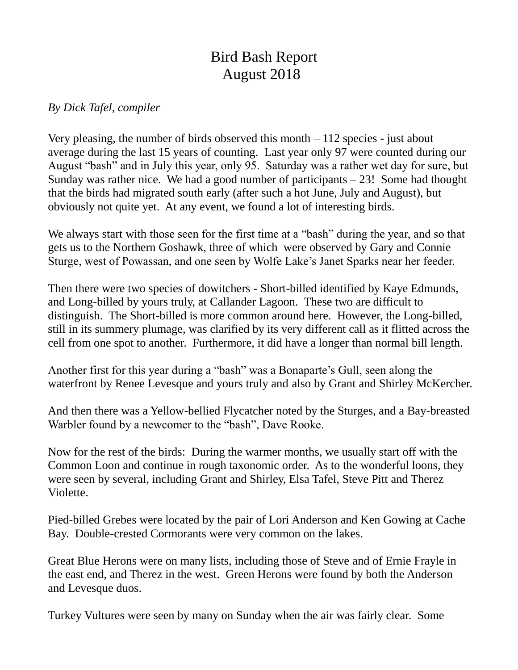## Bird Bash Report August 2018

## *By Dick Tafel, compiler*

Very pleasing, the number of birds observed this month – 112 species - just about average during the last 15 years of counting. Last year only 97 were counted during our August "bash" and in July this year, only 95. Saturday was a rather wet day for sure, but Sunday was rather nice. We had a good number of participants  $-23!$  Some had thought that the birds had migrated south early (after such a hot June, July and August), but obviously not quite yet. At any event, we found a lot of interesting birds.

We always start with those seen for the first time at a "bash" during the year, and so that gets us to the Northern Goshawk, three of which were observed by Gary and Connie Sturge, west of Powassan, and one seen by Wolfe Lake's Janet Sparks near her feeder.

Then there were two species of dowitchers - Short-billed identified by Kaye Edmunds, and Long-billed by yours truly, at Callander Lagoon. These two are difficult to distinguish. The Short-billed is more common around here. However, the Long-billed, still in its summery plumage, was clarified by its very different call as it flitted across the cell from one spot to another. Furthermore, it did have a longer than normal bill length.

Another first for this year during a "bash" was a Bonaparte's Gull, seen along the waterfront by Renee Levesque and yours truly and also by Grant and Shirley McKercher.

And then there was a Yellow-bellied Flycatcher noted by the Sturges, and a Bay-breasted Warbler found by a newcomer to the "bash", Dave Rooke.

Now for the rest of the birds: During the warmer months, we usually start off with the Common Loon and continue in rough taxonomic order. As to the wonderful loons, they were seen by several, including Grant and Shirley, Elsa Tafel, Steve Pitt and Therez Violette.

Pied-billed Grebes were located by the pair of Lori Anderson and Ken Gowing at Cache Bay. Double-crested Cormorants were very common on the lakes.

Great Blue Herons were on many lists, including those of Steve and of Ernie Frayle in the east end, and Therez in the west. Green Herons were found by both the Anderson and Levesque duos.

Turkey Vultures were seen by many on Sunday when the air was fairly clear. Some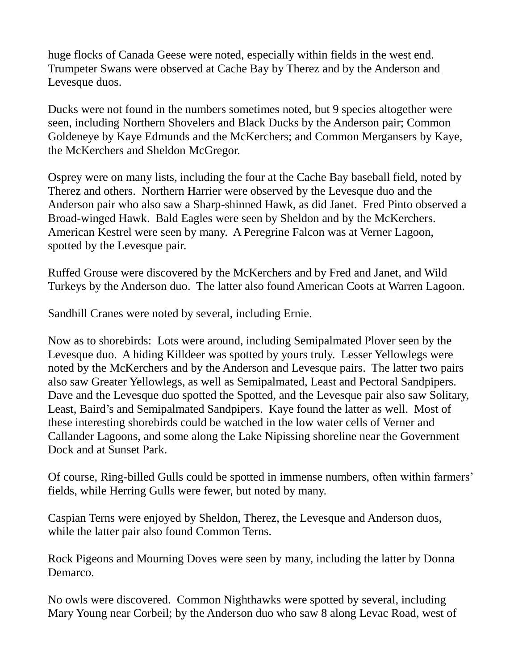huge flocks of Canada Geese were noted, especially within fields in the west end. Trumpeter Swans were observed at Cache Bay by Therez and by the Anderson and Levesque duos.

Ducks were not found in the numbers sometimes noted, but 9 species altogether were seen, including Northern Shovelers and Black Ducks by the Anderson pair; Common Goldeneye by Kaye Edmunds and the McKerchers; and Common Mergansers by Kaye, the McKerchers and Sheldon McGregor.

Osprey were on many lists, including the four at the Cache Bay baseball field, noted by Therez and others. Northern Harrier were observed by the Levesque duo and the Anderson pair who also saw a Sharp-shinned Hawk, as did Janet. Fred Pinto observed a Broad-winged Hawk. Bald Eagles were seen by Sheldon and by the McKerchers. American Kestrel were seen by many. A Peregrine Falcon was at Verner Lagoon, spotted by the Levesque pair.

Ruffed Grouse were discovered by the McKerchers and by Fred and Janet, and Wild Turkeys by the Anderson duo. The latter also found American Coots at Warren Lagoon.

Sandhill Cranes were noted by several, including Ernie.

Now as to shorebirds: Lots were around, including Semipalmated Plover seen by the Levesque duo. A hiding Killdeer was spotted by yours truly. Lesser Yellowlegs were noted by the McKerchers and by the Anderson and Levesque pairs. The latter two pairs also saw Greater Yellowlegs, as well as Semipalmated, Least and Pectoral Sandpipers. Dave and the Levesque duo spotted the Spotted, and the Levesque pair also saw Solitary, Least, Baird's and Semipalmated Sandpipers. Kaye found the latter as well. Most of these interesting shorebirds could be watched in the low water cells of Verner and Callander Lagoons, and some along the Lake Nipissing shoreline near the Government Dock and at Sunset Park.

Of course, Ring-billed Gulls could be spotted in immense numbers, often within farmers' fields, while Herring Gulls were fewer, but noted by many.

Caspian Terns were enjoyed by Sheldon, Therez, the Levesque and Anderson duos, while the latter pair also found Common Terns.

Rock Pigeons and Mourning Doves were seen by many, including the latter by Donna Demarco.

No owls were discovered. Common Nighthawks were spotted by several, including Mary Young near Corbeil; by the Anderson duo who saw 8 along Levac Road, west of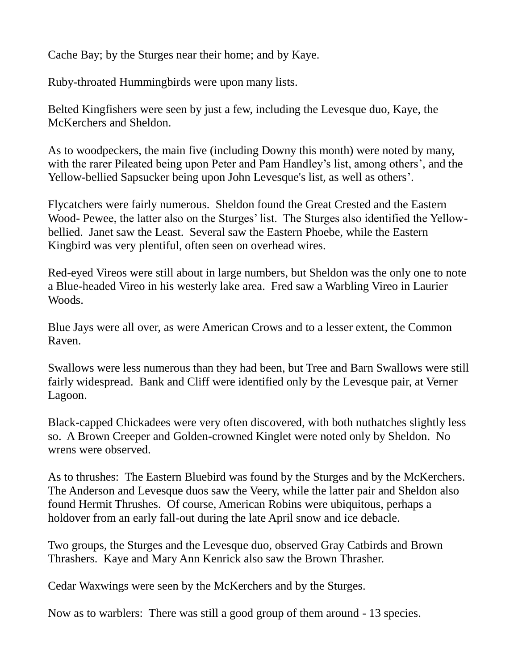Cache Bay; by the Sturges near their home; and by Kaye.

Ruby-throated Hummingbirds were upon many lists.

Belted Kingfishers were seen by just a few, including the Levesque duo, Kaye, the McKerchers and Sheldon.

As to woodpeckers, the main five (including Downy this month) were noted by many, with the rarer Pileated being upon Peter and Pam Handley's list, among others', and the Yellow-bellied Sapsucker being upon John Levesque's list, as well as others'.

Flycatchers were fairly numerous. Sheldon found the Great Crested and the Eastern Wood- Pewee, the latter also on the Sturges' list. The Sturges also identified the Yellowbellied. Janet saw the Least. Several saw the Eastern Phoebe, while the Eastern Kingbird was very plentiful, often seen on overhead wires.

Red-eyed Vireos were still about in large numbers, but Sheldon was the only one to note a Blue-headed Vireo in his westerly lake area. Fred saw a Warbling Vireo in Laurier Woods.

Blue Jays were all over, as were American Crows and to a lesser extent, the Common Raven.

Swallows were less numerous than they had been, but Tree and Barn Swallows were still fairly widespread. Bank and Cliff were identified only by the Levesque pair, at Verner Lagoon.

Black-capped Chickadees were very often discovered, with both nuthatches slightly less so. A Brown Creeper and Golden-crowned Kinglet were noted only by Sheldon. No wrens were observed.

As to thrushes: The Eastern Bluebird was found by the Sturges and by the McKerchers. The Anderson and Levesque duos saw the Veery, while the latter pair and Sheldon also found Hermit Thrushes. Of course, American Robins were ubiquitous, perhaps a holdover from an early fall-out during the late April snow and ice debacle.

Two groups, the Sturges and the Levesque duo, observed Gray Catbirds and Brown Thrashers. Kaye and Mary Ann Kenrick also saw the Brown Thrasher.

Cedar Waxwings were seen by the McKerchers and by the Sturges.

Now as to warblers: There was still a good group of them around - 13 species.